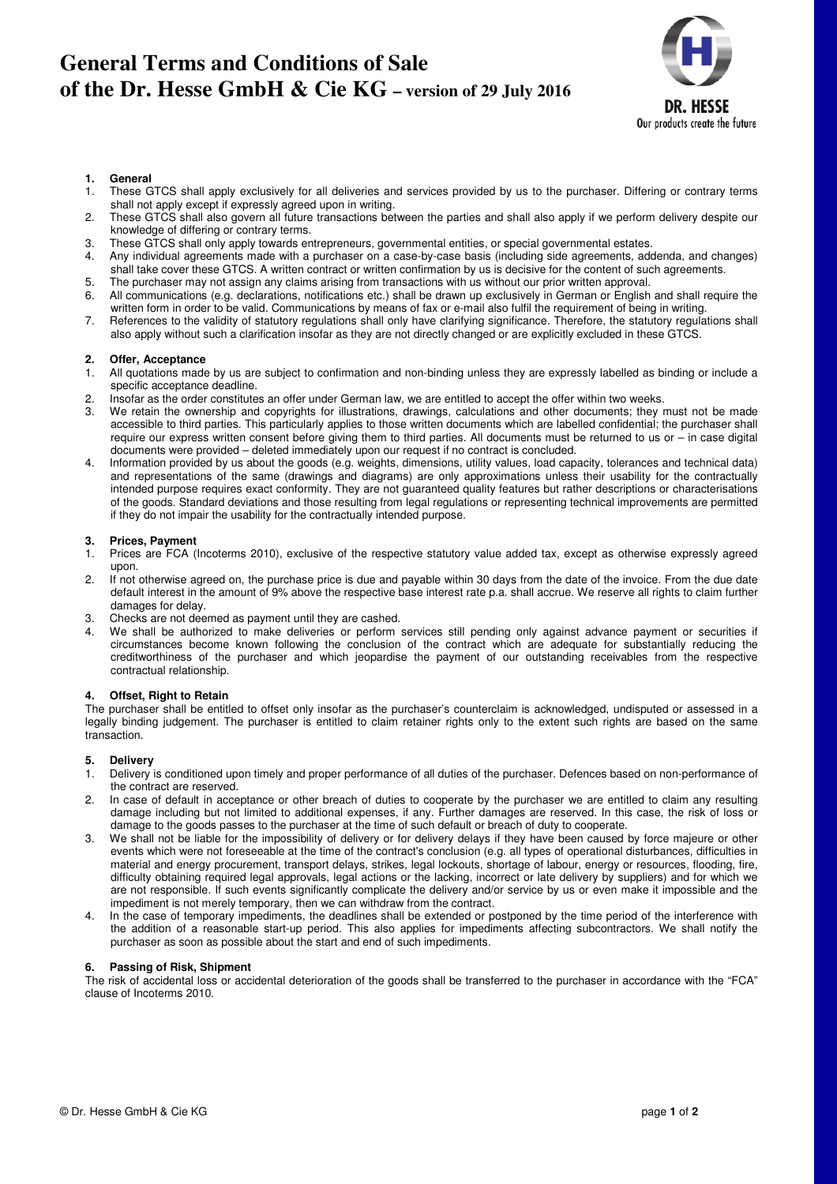# **General Terms and Conditions of Sale of the Dr. Hesse GmbH & Cie KG – version of 29 July 2016**



### **1. General**

- 1. These GTCS shall apply exclusively for all deliveries and services provided by us to the purchaser. Differing or contrary terms shall not apply except if expressly agreed upon in writing.
- 2. These GTCS shall also govern all future transactions between the parties and shall also apply if we perform delivery despite our knowledge of differing or contrary terms.
- 3. These GTCS shall only apply towards entrepreneurs, governmental entities, or special governmental estates.
- 4. Any individual agreements made with a purchaser on a case-by-case basis (including side agreements, addenda, and changes) shall take cover these GTCS. A written contract or written confirmation by us is decisive for the content of such agreements.
- 5. The purchaser may not assign any claims arising from transactions with us without our prior written approval.
- 6. All communications (e.g. declarations, notifications etc.) shall be drawn up exclusively in German or English and shall require the written form in order to be valid. Communications by means of fax or e-mail also fulfil the requirement of being in writing.
- 7. References to the validity of statutory regulations shall only have clarifying significance. Therefore, the statutory regulations shall also apply without such a clarification insofar as they are not directly changed or are explicitly excluded in these GTCS.

## **2. Offer, Acceptance**

- 1. All quotations made by us are subject to confirmation and non-binding unless they are expressly labelled as binding or include a specific acceptance deadline.
- 2. Insofar as the order constitutes an offer under German law, we are entitled to accept the offer within two weeks.<br>3. We retain the ownership and copyrights for illustrations, drawings, calculations and other documents;
- 3. We retain the ownership and copyrights for illustrations, drawings, calculations and other documents; they must not be made accessible to third parties. This particularly applies to those written documents which are labelled confidential; the purchaser shall require our express written consent before giving them to third parties. All documents must be returned to us or – in case digital documents were provided – deleted immediately upon our request if no contract is concluded.
- 4. Information provided by us about the goods (e.g. weights, dimensions, utility values, load capacity, tolerances and technical data) and representations of the same (drawings and diagrams) are only approximations unless their usability for the contractually intended purpose requires exact conformity. They are not guaranteed quality features but rather descriptions or characterisations of the goods. Standard deviations and those resulting from legal regulations or representing technical improvements are permitted if they do not impair the usability for the contractually intended purpose.

## **3. Prices, Payment**

- 1. Prices are FCA (Incoterms 2010), exclusive of the respective statutory value added tax, except as otherwise expressly agreed upon.
- 2. If not otherwise agreed on, the purchase price is due and payable within 30 days from the date of the invoice. From the due date default interest in the amount of 9% above the respective base interest rate p.a. shall accrue. We reserve all rights to claim further damages for delay.
- 3. Checks are not deemed as payment until they are cashed.
- We shall be authorized to make deliveries or perform services still pending only against advance payment or securities if circumstances become known following the conclusion of the contract which are adequate for substantially reducing the creditworthiness of the purchaser and which jeopardise the payment of our outstanding receivables from the respective contractual relationship.

## **4. Offset, Right to Retain**

The purchaser shall be entitled to offset only insofar as the purchaser's counterclaim is acknowledged, undisputed or assessed in a legally binding judgement. The purchaser is entitled to claim retainer rights only to the extent such rights are based on the same transaction.

## **5. Delivery**

- 1. Delivery is conditioned upon timely and proper performance of all duties of the purchaser. Defences based on non-performance of the contract are reserved.
- 2. In case of default in acceptance or other breach of duties to cooperate by the purchaser we are entitled to claim any resulting damage including but not limited to additional expenses, if any. Further damages are reserved. In this case, the risk of loss or damage to the goods passes to the purchaser at the time of such default or breach of duty to cooperate.
- 3. We shall not be liable for the impossibility of delivery or for delivery delays if they have been caused by force majeure or other events which were not foreseeable at the time of the contract's conclusion (e.g. all types of operational disturbances, difficulties in material and energy procurement, transport delays, strikes, legal lockouts, shortage of labour, energy or resources, flooding, fire, difficulty obtaining required legal approvals, legal actions or the lacking, incorrect or late delivery by suppliers) and for which we are not responsible. If such events significantly complicate the delivery and/or service by us or even make it impossible and the impediment is not merely temporary, then we can withdraw from the contract.
- 4. In the case of temporary impediments, the deadlines shall be extended or postponed by the time period of the interference with the addition of a reasonable start-up period. This also applies for impediments affecting subcontractors. We shall notify the purchaser as soon as possible about the start and end of such impediments.

#### **6. Passing of Risk, Shipment**

The risk of accidental loss or accidental deterioration of the goods shall be transferred to the purchaser in accordance with the "FCA" clause of Incoterms 2010.